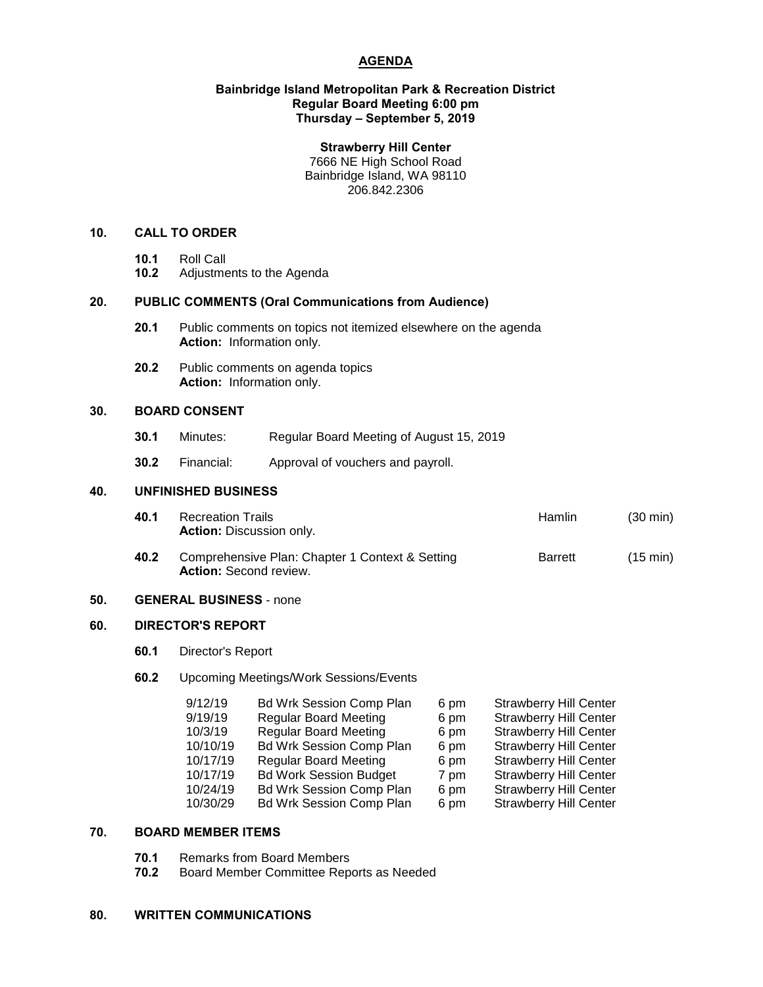# **AGENDA**

#### **Bainbridge Island Metropolitan Park & Recreation District Regular Board Meeting 6:00 pm Thursday – September 5, 2019**

#### **Strawberry Hill Center**

7666 NE High School Road Bainbridge Island, WA 98110 206.842.2306

# **10. CALL TO ORDER**

- 
- **10.1** Roll Call **10.2** Adjustments to the Agenda

# **20. PUBLIC COMMENTS (Oral Communications from Audience)**

- **20.1** Public comments on topics not itemized elsewhere on the agenda **Action:** Information only.
- **20.2** Public comments on agenda topics **Action:** Information only.

## **30. BOARD CONSENT**

- **30.1** Minutes: Regular Board Meeting of August 15, 2019
- **30.2** Financial: Approval of vouchers and payroll.

#### **40. UNFINISHED BUSINESS**

| 40.1 | Recreation Trails               | Hamlin | $(30 \text{ min})$ |
|------|---------------------------------|--------|--------------------|
|      | <b>Action: Discussion only.</b> |        |                    |
|      |                                 |        |                    |

**40.2** Comprehensive Plan: Chapter 1 Context & Setting Barrett (15 min) **Action:** Second review.

# **50. GENERAL BUSINESS** - none

## **60. DIRECTOR'S REPORT**

- **60.1** Director's Report
- **60.2** Upcoming Meetings/Work Sessions/Events

| 9/12/19  | <b>Bd Wrk Session Comp Plan</b> | 6 pm | <b>Strawberry Hill Center</b> |
|----------|---------------------------------|------|-------------------------------|
| 9/19/19  | <b>Regular Board Meeting</b>    | 6 pm | <b>Strawberry Hill Center</b> |
| 10/3/19  | <b>Regular Board Meeting</b>    | 6 pm | <b>Strawberry Hill Center</b> |
| 10/10/19 | <b>Bd Wrk Session Comp Plan</b> | 6 pm | <b>Strawberry Hill Center</b> |
| 10/17/19 | <b>Regular Board Meeting</b>    | 6 pm | <b>Strawberry Hill Center</b> |
| 10/17/19 | <b>Bd Work Session Budget</b>   | 7 pm | <b>Strawberry Hill Center</b> |
| 10/24/19 | <b>Bd Wrk Session Comp Plan</b> | 6 pm | <b>Strawberry Hill Center</b> |
| 10/30/29 | <b>Bd Wrk Session Comp Plan</b> | 6 pm | <b>Strawberry Hill Center</b> |
|          |                                 |      |                               |

# **70. BOARD MEMBER ITEMS**

- **70.1** Remarks from Board Members
- **70.2** Board Member Committee Reports as Needed

#### **80. WRITTEN COMMUNICATIONS**